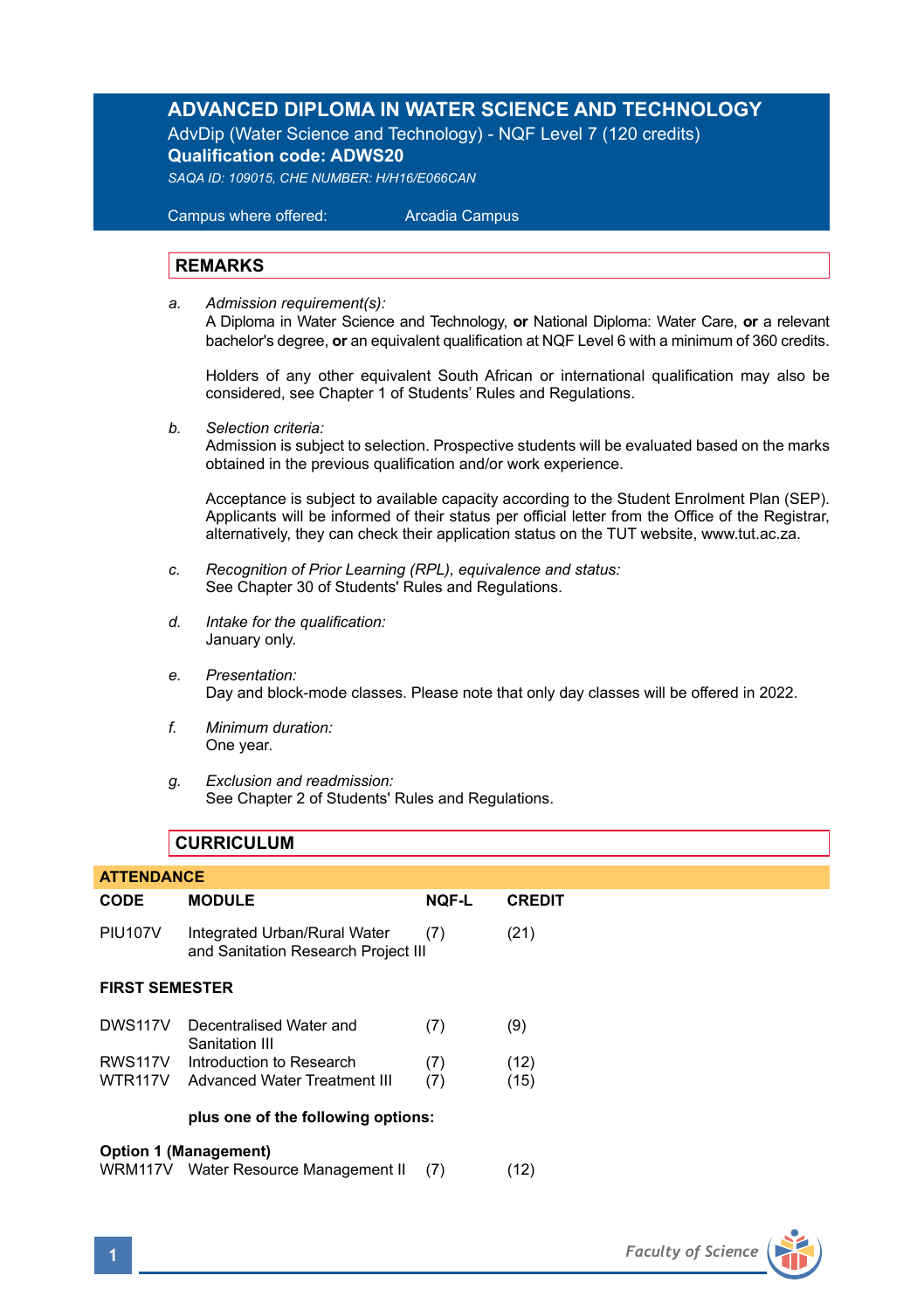## **ADVANCED DIPLOMA IN WATER SCIENCE AND TECHNOLOGY**

AdvDip (Water Science and Technology) - NQF Level 7 (120 credits) **Qualification code: ADWS20**

*SAQA ID: 109015, CHE NUMBER: H/H16/E066CAN* 

 Campus where offered: Arcadia Campus

### **REMARKS**

*a. Admission requirement(s):* 

A Diploma in Water Science and Technology, **or** National Diploma: Water Care, **or** a relevant bachelor's degree, **or** an equivalent qualification at NQF Level 6 with a minimum of 360 credits.

Holders of any other equivalent South African or international qualification may also be considered, see Chapter 1 of Students' Rules and Regulations.

*b. Selection criteria:*

Admission is subject to selection. Prospective students will be evaluated based on the marks obtained in the previous qualification and/or work experience.

Acceptance is subject to available capacity according to the Student Enrolment Plan (SEP). Applicants will be informed of their status per official letter from the Office of the Registrar, alternatively, they can check their application status on the TUT website, www.tut.ac.za.

- *c. Recognition of Prior Learning (RPL), equivalence and status:* See Chapter 30 of Students' Rules and Regulations.
- *d. Intake for the qualification:* January only.
- *e. Presentation:* Day and block-mode classes. Please note that only day classes will be offered in 2022.
- *f. Minimum duration:* One year.
- *g. Exclusion and readmission:* See Chapter 2 of Students' Rules and Regulations.

### **CURRICULUM**

| <b>ATTENDANCE</b>                                             |                                                                     |              |               |
|---------------------------------------------------------------|---------------------------------------------------------------------|--------------|---------------|
| <b>CODE</b>                                                   | <b>MODULE</b>                                                       | <b>NOF-L</b> | <b>CREDIT</b> |
| <b>PIU107V</b>                                                | Integrated Urban/Rural Water<br>and Sanitation Research Project III | (7)          | (21)          |
| <b>FIRST SEMESTER</b>                                         |                                                                     |              |               |
| DWS117V                                                       | Decentralised Water and<br>Sanitation III                           | (7)          | (9)           |
| RWS <sub>117V</sub>                                           | Introduction to Research                                            | (7)          | (12)          |
| WTR117V                                                       | Advanced Water Treatment III                                        | (7)          | (15)          |
|                                                               | plus one of the following options:                                  |              |               |
| Option 1 (Management)<br>WRM117V Water Resource Management II |                                                                     | (7)          | (12)          |

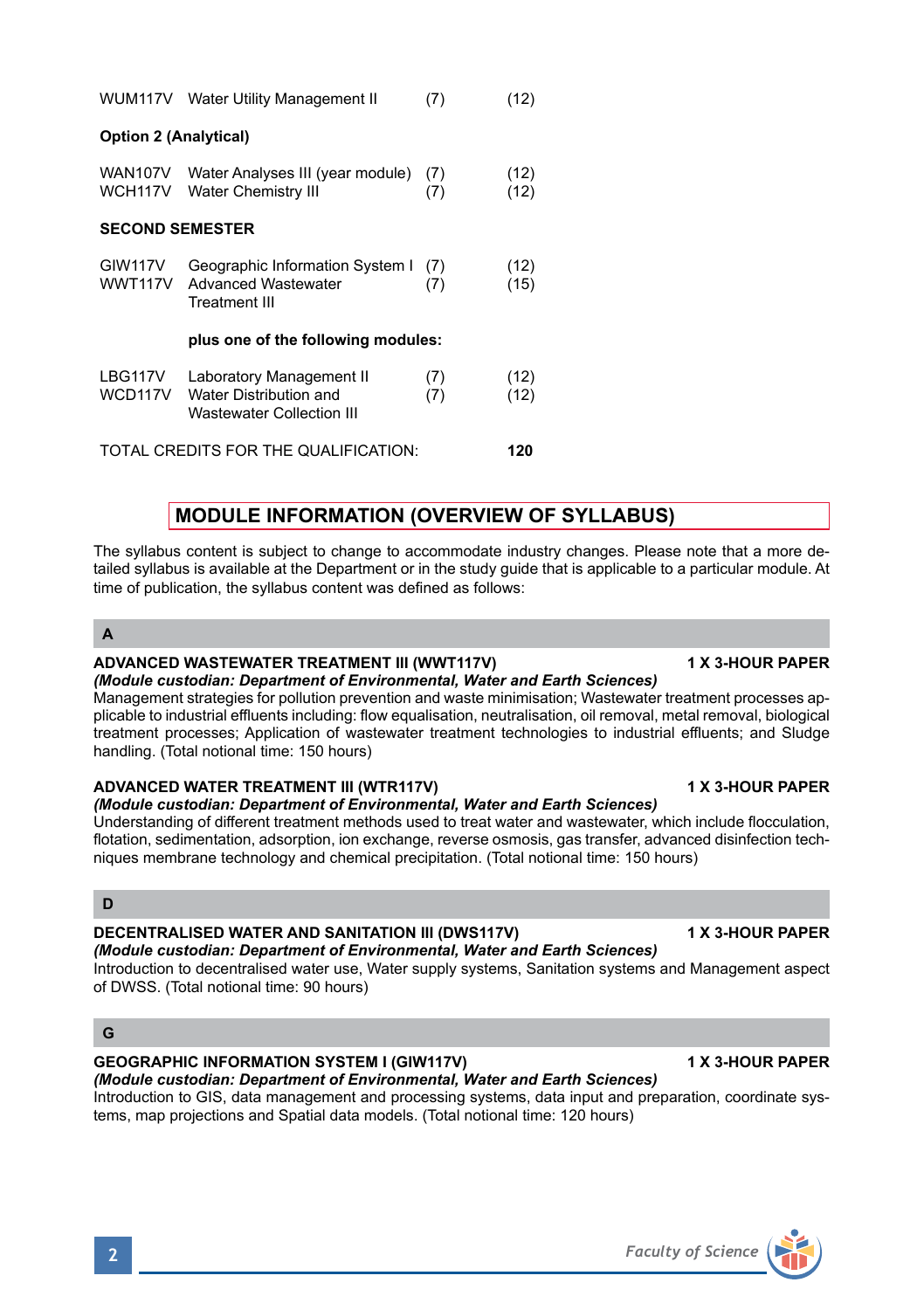**Option 2 (Analytical)** WAN107V Water Analyses III (year module) (7) (12) WCH117V Water Chemistry III (7) (12) **SECOND SEMESTER** GIW117V Geographic Information System I (7) (12)<br>WWT117V Advanced Wastewater (7) (15) WWT117V Advanced Wastewater (7) Treatment III **plus one of the following modules:** LBG117V Laboratory Management II (7) (12)<br>WCD117V Water Distribution and (7) (12) WCD117V Water Distribution and Wastewater Collection III TOTAL CREDITS FOR THE QUALIFICATION: **120**

WUM117V Water Utility Management II (7) (12)

# **MODULE INFORMATION (OVERVIEW OF SYLLABUS)**

The syllabus content is subject to change to accommodate industry changes. Please note that a more detailed syllabus is available at the Department or in the study guide that is applicable to a particular module. At time of publication, the syllabus content was defined as follows:

**A**

# **ADVANCED WASTEWATER TREATMENT III (WWT117V) 1 X 3-HOUR PAPER**

*(Module custodian: Department of Environmental, Water and Earth Sciences)* Management strategies for pollution prevention and waste minimisation; Wastewater treatment processes applicable to industrial effluents including: flow equalisation, neutralisation, oil removal, metal removal, biological treatment processes; Application of wastewater treatment technologies to industrial effluents; and Sludge handling. (Total notional time: 150 hours)

#### ADVANCED WATER TREATMENT III (WTR117V) **1 AU 1 AU 2018** 1 X 3-HOUR PAPER

### *(Module custodian: Department of Environmental, Water and Earth Sciences)*

Understanding of different treatment methods used to treat water and wastewater, which include flocculation, flotation, sedimentation, adsorption, ion exchange, reverse osmosis, gas transfer, advanced disinfection techniques membrane technology and chemical precipitation. (Total notional time: 150 hours)

#### **D**

## **DECENTRALISED WATER AND SANITATION III (DWS117V) 1 X 3-HOUR PAPER**

*(Module custodian: Department of Environmental, Water and Earth Sciences)* Introduction to decentralised water use, Water supply systems, Sanitation systems and Management aspect of DWSS. (Total notional time: 90 hours)

#### **G**

## GEOGRAPHIC INFORMATION SYSTEM I (GIW117V) **1 A 3-HOUR PAPER**

*(Module custodian: Department of Environmental, Water and Earth Sciences)* Introduction to GIS, data management and processing systems, data input and preparation, coordinate systems, map projections and Spatial data models. (Total notional time: 120 hours)